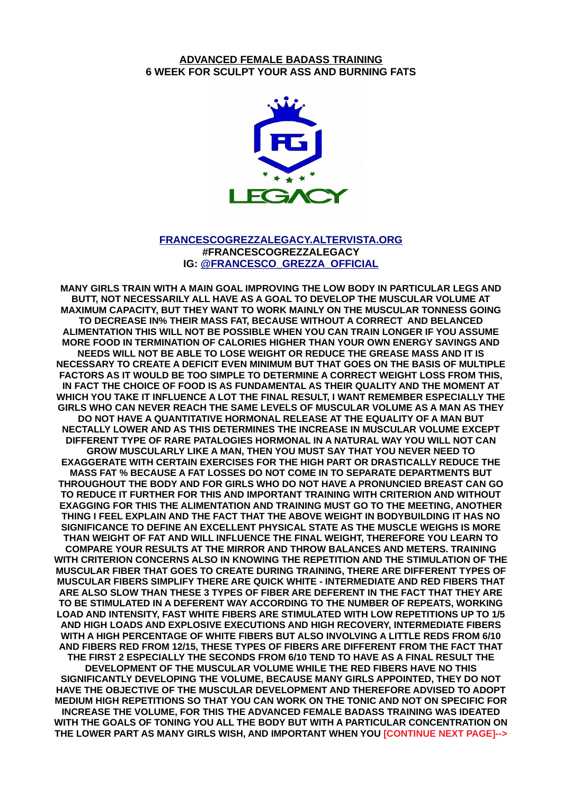#### **ADVANCED FEMALE BADASS TRAINING 6 WEEK FOR SCULPT YOUR ASS AND BURNING FATS**



#### **[FRANCESCOGREZZALEGACY.ALTERVISTA.ORG](http://FRANCESCOGREZZALEGACY.ALTERVISTA.ORG/) #FRANCESCOGREZZALEGACY IG: [@FRANCESCO\\_GREZZA\\_OFFICIAL](http://instagram.com/francesco_grezza_official)**

**MANY GIRLS TRAIN WITH A MAIN GOAL IMPROVING THE LOW BODY IN PARTICULAR LEGS AND BUTT, NOT NECESSARILY ALL HAVE AS A GOAL TO DEVELOP THE MUSCULAR VOLUME AT MAXIMUM CAPACITY, BUT THEY WANT TO WORK MAINLY ON THE MUSCULAR TONNESS GOING TO DECREASE IN% THEIR MASS FAT, BECAUSE WITHOUT A CORRECT AND BELANCED ALIMENTATION THIS WILL NOT BE POSSIBLE WHEN YOU CAN TRAIN LONGER IF YOU ASSUME MORE FOOD IN TERMINATION OF CALORIES HIGHER THAN YOUR OWN ENERGY SAVINGS AND NEEDS WILL NOT BE ABLE TO LOSE WEIGHT OR REDUCE THE GREASE MASS AND IT IS NECESSARY TO CREATE A DEFICIT EVEN MINIMUM BUT THAT GOES ON THE BASIS OF MULTIPLE FACTORS AS IT WOULD BE TOO SIMPLE TO DETERMINE A CORRECT WEIGHT LOSS FROM THIS, IN FACT THE CHOICE OF FOOD IS AS FUNDAMENTAL AS THEIR QUALITY AND THE MOMENT AT WHICH YOU TAKE IT INFLUENCE A LOT THE FINAL RESULT, I WANT REMEMBER ESPECIALLY THE GIRLS WHO CAN NEVER REACH THE SAME LEVELS OF MUSCULAR VOLUME AS A MAN AS THEY DO NOT HAVE A QUANTITATIVE HORMONAL RELEASE AT THE EQUALITY OF A MAN BUT NECTALLY LOWER AND AS THIS DETERMINES THE INCREASE IN MUSCULAR VOLUME EXCEPT DIFFERENT TYPE OF RARE PATALOGIES HORMONAL IN A NATURAL WAY YOU WILL NOT CAN GROW MUSCULARLY LIKE A MAN, THEN YOU MUST SAY THAT YOU NEVER NEED TO EXAGGERATE WITH CERTAIN EXERCISES FOR THE HIGH PART OR DRASTICALLY REDUCE THE MASS FAT % BECAUSE A FAT LOSSES DO NOT COME IN TO SEPARATE DEPARTMENTS BUT THROUGHOUT THE BODY AND FOR GIRLS WHO DO NOT HAVE A PRONUNCIED BREAST CAN GO TO REDUCE IT FURTHER FOR THIS AND IMPORTANT TRAINING WITH CRITERION AND WITHOUT EXAGGING FOR THIS THE ALIMENTATION AND TRAINING MUST GO TO THE MEETING, ANOTHER THING I FEEL EXPLAIN AND THE FACT THAT THE ABOVE WEIGHT IN BODYBUILDING IT HAS NO SIGNIFICANCE TO DEFINE AN EXCELLENT PHYSICAL STATE AS THE MUSCLE WEIGHS IS MORE THAN WEIGHT OF FAT AND WILL INFLUENCE THE FINAL WEIGHT, THEREFORE YOU LEARN TO COMPARE YOUR RESULTS AT THE MIRROR AND THROW BALANCES AND METERS. TRAINING WITH CRITERION CONCERNS ALSO IN KNOWING THE REPETITION AND THE STIMULATION OF THE MUSCULAR FIBER THAT GOES TO CREATE DURING TRAINING, THERE ARE DIFFERENT TYPES OF MUSCULAR FIBERS SIMPLIFY THERE ARE QUICK WHITE - INTERMEDIATE AND RED FIBERS THAT ARE ALSO SLOW THAN THESE 3 TYPES OF FIBER ARE DEFERENT IN THE FACT THAT THEY ARE TO BE STIMULATED IN A DEFERENT WAY ACCORDING TO THE NUMBER OF REPEATS, WORKING LOAD AND INTENSITY, FAST WHITE FIBERS ARE STIMULATED WITH LOW REPETITIONS UP TO 1/5 AND HIGH LOADS AND EXPLOSIVE EXECUTIONS AND HIGH RECOVERY, INTERMEDIATE FIBERS WITH A HIGH PERCENTAGE OF WHITE FIBERS BUT ALSO INVOLVING A LITTLE REDS FROM 6/10 AND FIBERS RED FROM 12/15, THESE TYPES OF FIBERS ARE DIFFERENT FROM THE FACT THAT THE FIRST 2 ESPECIALLY THE SECONDS FROM 6/10 TEND TO HAVE AS A FINAL RESULT THE DEVELOPMENT OF THE MUSCULAR VOLUME WHILE THE RED FIBERS HAVE NO THIS SIGNIFICANTLY DEVELOPING THE VOLUME, BECAUSE MANY GIRLS APPOINTED, THEY DO NOT HAVE THE OBJECTIVE OF THE MUSCULAR DEVELOPMENT AND THEREFORE ADVISED TO ADOPT MEDIUM HIGH REPETITIONS SO THAT YOU CAN WORK ON THE TONIC AND NOT ON SPECIFIC FOR INCREASE THE VOLUME, FOR THIS THE ADVANCED FEMALE BADASS TRAINING WAS IDEATED WITH THE GOALS OF TONING YOU ALL THE BODY BUT WITH A PARTICULAR CONCENTRATION ON THE LOWER PART AS MANY GIRLS WISH, AND IMPORTANT WHEN YOU [CONTINUE NEXT PAGE]-->**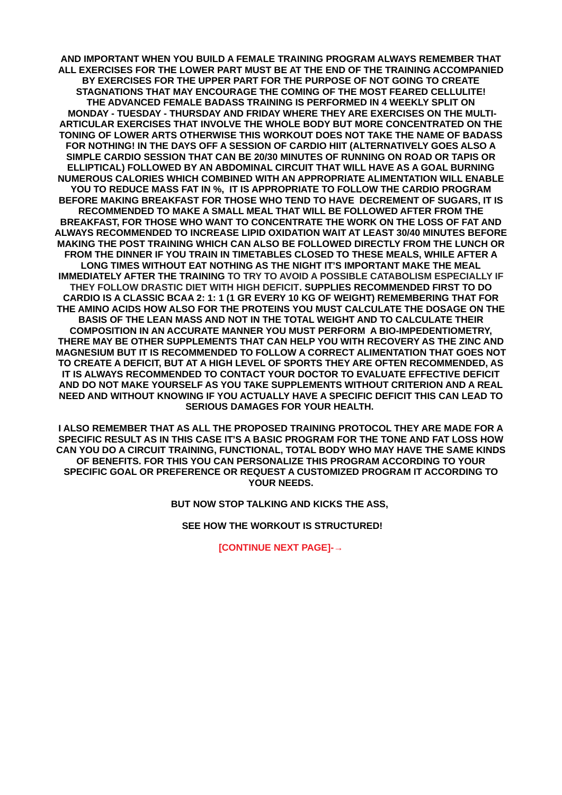**AND IMPORTANT WHEN YOU BUILD A FEMALE TRAINING PROGRAM ALWAYS REMEMBER THAT ALL EXERCISES FOR THE LOWER PART MUST BE AT THE END OF THE TRAINING ACCOMPANIED BY EXERCISES FOR THE UPPER PART FOR THE PURPOSE OF NOT GOING TO CREATE STAGNATIONS THAT MAY ENCOURAGE THE COMING OF THE MOST FEARED CELLULITE! THE ADVANCED FEMALE BADASS TRAINING IS PERFORMED IN 4 WEEKLY SPLIT ON MONDAY - TUESDAY - THURSDAY AND FRIDAY WHERE THEY ARE EXERCISES ON THE MULTI-ARTICULAR EXERCISES THAT INVOLVE THE WHOLE BODY BUT MORE CONCENTRATED ON THE TONING OF LOWER ARTS OTHERWISE THIS WORKOUT DOES NOT TAKE THE NAME OF BADASS FOR NOTHING! IN THE DAYS OFF A SESSION OF CARDIO HIIT (ALTERNATIVELY GOES ALSO A SIMPLE CARDIO SESSION THAT CAN BE 20/30 MINUTES OF RUNNING ON ROAD OR TAPIS OR ELLIPTICAL) FOLLOWED BY AN ABDOMINAL CIRCUIT THAT WILL HAVE AS A GOAL BURNING NUMEROUS CALORIES WHICH COMBINED WITH AN APPROPRIATE ALIMENTATION WILL ENABLE YOU TO REDUCE MASS FAT IN %, IT IS APPROPRIATE TO FOLLOW THE CARDIO PROGRAM BEFORE MAKING BREAKFAST FOR THOSE WHO TEND TO HAVE DECREMENT OF SUGARS, IT IS RECOMMENDED TO MAKE A SMALL MEAL THAT WILL BE FOLLOWED AFTER FROM THE BREAKFAST, FOR THOSE WHO WANT TO CONCENTRATE THE WORK ON THE LOSS OF FAT AND ALWAYS RECOMMENDED TO INCREASE LIPID OXIDATION WAIT AT LEAST 30/40 MINUTES BEFORE MAKING THE POST TRAINING WHICH CAN ALSO BE FOLLOWED DIRECTLY FROM THE LUNCH OR FROM THE DINNER IF YOU TRAIN IN TIMETABLES CLOSED TO THESE MEALS, WHILE AFTER A LONG TIMES WITHOUT EAT NOTHING AS THE NIGHT IT'S IMPORTANT MAKE THE MEAL IMMEDIATELY AFTER THE TRAINING TO TRY TO AVOID A POSSIBLE CATABOLISM ESPECIALLY IF THEY FOLLOW DRASTIC DIET WITH HIGH DEFICIT. SUPPLIES RECOMMENDED FIRST TO DO CARDIO IS A CLASSIC BCAA 2: 1: 1 (1 GR EVERY 10 KG OF WEIGHT) REMEMBERING THAT FOR THE AMINO ACIDS HOW ALSO FOR THE PROTEINS YOU MUST CALCULATE THE DOSAGE ON THE BASIS OF THE LEAN MASS AND NOT IN THE TOTAL WEIGHT AND TO CALCULATE THEIR COMPOSITION IN AN ACCURATE MANNER YOU MUST PERFORM A BIO-IMPEDENTIOMETRY, THERE MAY BE OTHER SUPPLEMENTS THAT CAN HELP YOU WITH RECOVERY AS THE ZINC AND MAGNESIUM BUT IT IS RECOMMENDED TO FOLLOW A CORRECT ALIMENTATION THAT GOES NOT TO CREATE A DEFICIT, BUT AT A HIGH LEVEL OF SPORTS THEY ARE OFTEN RECOMMENDED, AS IT IS ALWAYS RECOMMENDED TO CONTACT YOUR DOCTOR TO EVALUATE EFFECTIVE DEFICIT AND DO NOT MAKE YOURSELF AS YOU TAKE SUPPLEMENTS WITHOUT CRITERION AND A REAL NEED AND WITHOUT KNOWING IF YOU ACTUALLY HAVE A SPECIFIC DEFICIT THIS CAN LEAD TO SERIOUS DAMAGES FOR YOUR HEALTH.** 

**I ALSO REMEMBER THAT AS ALL THE PROPOSED TRAINING PROTOCOL THEY ARE MADE FOR A SPECIFIC RESULT AS IN THIS CASE IT'S A BASIC PROGRAM FOR THE TONE AND FAT LOSS HOW CAN YOU DO A CIRCUIT TRAINING, FUNCTIONAL, TOTAL BODY WHO MAY HAVE THE SAME KINDS OF BENEFITS. FOR THIS YOU CAN PERSONALIZE THIS PROGRAM ACCORDING TO YOUR SPECIFIC GOAL OR PREFERENCE OR REQUEST A CUSTOMIZED PROGRAM IT ACCORDING TO YOUR NEEDS.**

**BUT NOW STOP TALKING AND KICKS THE ASS,** 

 **SEE HOW THE WORKOUT IS STRUCTURED!**

**[CONTINUE NEXT PAGE]-→**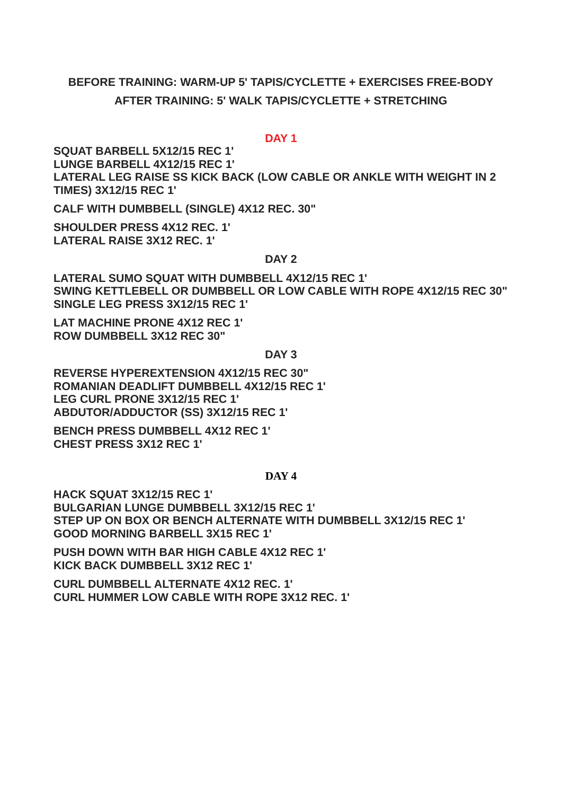# **BEFORE TRAINING: WARM-UP 5' TAPIS/CYCLETTE + EXERCISES FREE-BODY**

### **AFTER TRAINING: 5' WALK TAPIS/CYCLETTE + STRETCHING**

#### **DAY 1**

**SQUAT BARBELL 5X12/15 REC 1' LUNGE BARBELL 4X12/15 REC 1' LATERAL LEG RAISE SS KICK BACK (LOW CABLE OR ANKLE WITH WEIGHT IN 2 TIMES) 3X12/15 REC 1'**

**CALF WITH DUMBBELL (SINGLE) 4X12 REC. 30"**

**SHOULDER PRESS 4X12 REC. 1' LATERAL RAISE 3X12 REC. 1'**

#### **DAY 2**

**LATERAL SUMO SQUAT WITH DUMBBELL 4X12/15 REC 1' SWING KETTLEBELL OR DUMBBELL OR LOW CABLE WITH ROPE 4X12/15 REC 30" SINGLE LEG PRESS 3X12/15 REC 1'**

**LAT MACHINE PRONE 4X12 REC 1' ROW DUMBBELL 3X12 REC 30"**

**DAY 3**

**REVERSE HYPEREXTENSION 4X12/15 REC 30" ROMANIAN DEADLIFT DUMBBELL 4X12/15 REC 1' LEG CURL PRONE 3X12/15 REC 1' ABDUTOR/ADDUCTOR (SS) 3X12/15 REC 1'**

**BENCH PRESS DUMBBELL 4X12 REC 1' CHEST PRESS 3X12 REC 1'**

#### **DAY 4**

**HACK SQUAT 3X12/15 REC 1' BULGARIAN LUNGE DUMBBELL 3X12/15 REC 1' STEP UP ON BOX OR BENCH ALTERNATE WITH DUMBBELL 3X12/15 REC 1' GOOD MORNING BARBELL 3X15 REC 1'**

**PUSH DOWN WITH BAR HIGH CABLE 4X12 REC 1' KICK BACK DUMBBELL 3X12 REC 1'**

**CURL DUMBBELL ALTERNATE 4X12 REC. 1' CURL HUMMER LOW CABLE WITH ROPE 3X12 REC. 1'**